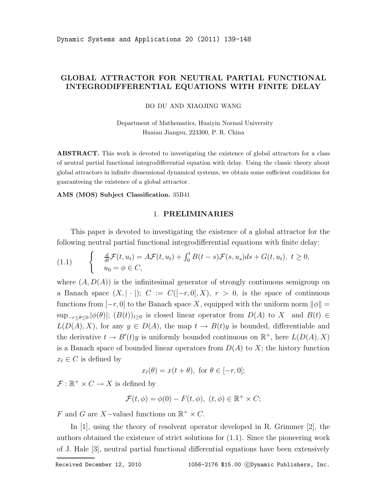# GLOBAL ATTRACTOR FOR NEUTRAL PARTIAL FUNCTIONAL INTEGRODIFFERENTIAL EQUATIONS WITH FINITE DELAY

BO DU AND XIAOJING WANG

Department of Mathematics, Huaiyin Normal University Huaian Jiangsu, 223300, P. R. China

**ABSTRACT.** This work is devoted to investigating the existence of global attractors for a class of neutral partial functional integrodifferential equation with delay. Using the classic theory about global attractors in infinite dimensional dynamical systems, we obtain some sufficient conditions for guaranteeing the existence of a global attractor.

AMS (MOS) Subject Classification. 35B41

#### 1. PRELIMINARIES

This paper is devoted to investigating the existence of a global attractor for the following neutral partial functional integrodifferential equations with finite delay:

$$
(1.1) \qquad \begin{cases} \frac{d}{dt}\mathcal{F}(t,u_t) = A\mathcal{F}(t,u_t) + \int_0^t B(t-s)\mathcal{F}(s,u_s)ds + G(t,u_t), \ t \ge 0, \\ u_0 = \phi \in C, \end{cases}
$$

where  $(A, D(A))$  is the infinitesimal generator of strongly continuous semigroup on a Banach space  $(X, |\cdot|); C := C([-r, 0], X), r > 0$ , is the space of continuous functions from  $[-r, 0]$  to the Banach space X, equipped with the uniform norm  $\|\phi\| =$  $\sup_{-r\leq\theta\leq0}|\phi(\theta)|$ ;  $(B(t))_{t\geq0}$  is closed linear operator from  $D(A)$  to X and  $B(t)\in\mathbb{R}$  $L(D(A), X)$ , for any  $y \in D(A)$ , the map  $t \to B(t)y$  is bounded, differentiable and the derivative  $t \to B'(t)y$  is uniformly bounded continuous on  $\mathbb{R}^+$ , here  $L(D(A), X)$ is a Banach space of bounded linear operators from  $D(A)$  to X; the history function  $x_t \in C$  is defined by

$$
x_t(\theta) = x(t + \theta), \text{ for } \theta \in [-r, 0];
$$

 $\mathcal{F}: \mathbb{R}^+ \times C \to X$  is defined by

$$
\mathcal{F}(t,\phi) = \phi(0) - F(t,\phi), \ (t,\phi) \in \mathbb{R}^+ \times C;
$$

F and G are X-valued functions on  $\mathbb{R}^+ \times C$ .

In [1], using the theory of resolvent operator developed in R. Grimmer [2], the authors obtained the existence of strict solutions for (1.1). Since the pioneering work of J. Hale [3], neutral partial functional differential equations have been extensively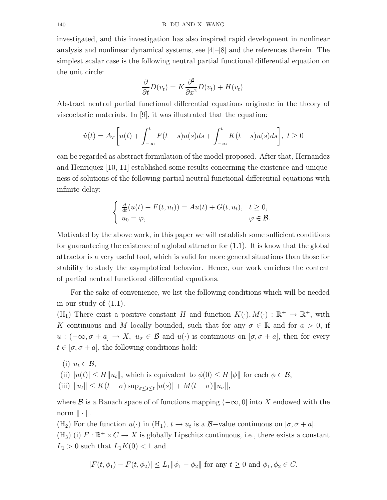investigated, and this investigation has also inspired rapid development in nonlinear analysis and nonlinear dynamical systems, see [4]–[8] and the references therein. The simplest scalar case is the following neutral partial functional differential equation on the unit circle:

$$
\frac{\partial}{\partial t}D(v_t) = K \frac{\partial^2}{\partial x^2}D(v_t) + H(v_t).
$$

Abstract neutral partial functional differential equations originate in the theory of viscoelastic materials. In [9], it was illustrated that the equation:

$$
\dot{u}(t) = A_T \left[ u(t) + \int_{-\infty}^t F(t-s)u(s)ds + \int_{-\infty}^t K(t-s)u(s)ds \right], \ t \ge 0
$$

can be regarded as abstract formulation of the model proposed. After that, Hernandez and Henriquez [10, 11] established some results concerning the existence and uniqueness of solutions of the following partial neutral functional differential equations with infinite delay:

$$
\begin{cases} \frac{d}{dt}(u(t) - F(t, u_t)) = Au(t) + G(t, u_t), & t \ge 0, \\ u_0 = \varphi, & \varphi \in \mathcal{B}. \end{cases}
$$

Motivated by the above work, in this paper we will establish some sufficient conditions for guaranteeing the existence of a global attractor for  $(1.1)$ . It is know that the global attractor is a very useful tool, which is valid for more general situations than those for stability to study the asymptotical behavior. Hence, our work enriches the content of partial neutral functional differential equations.

For the sake of convenience, we list the following conditions which will be needed in our study of (1.1).

(H<sub>1</sub>) There exist a positive constant H and function  $K(\cdot), M(\cdot) : \mathbb{R}^+ \to \mathbb{R}^+$ , with K continuous and M locally bounded, such that for any  $\sigma \in \mathbb{R}$  and for  $a > 0$ , if  $u:(-\infty, \sigma+a] \to X$ ,  $u_{\sigma} \in \mathcal{B}$  and  $u(\cdot)$  is continuous on  $[\sigma, \sigma+a]$ , then for every  $t \in [\sigma, \sigma + a]$ , the following conditions hold:

(i)  $u_t \in \mathcal{B}$ ,

(ii) 
$$
|u(t)| \le H ||u_t||
$$
, which is equivalent to  $\phi(0) \le H ||\phi||$  for each  $\phi \in \mathcal{B}$ ,

(iii)  $||u_t|| \le K(t - \sigma) \sup_{\sigma \le s \le t} |u(s)| + M(t - \sigma) ||u_{\sigma}||,$ 

where B is a Banach space of of functions mapping  $(-\infty, 0]$  into X endowed with the norm  $\|\cdot\|.$ 

(H<sub>2</sub>) For the function  $u(\cdot)$  in (H<sub>1</sub>),  $t \to u_t$  is a  $\mathcal{B}-v$  value continuous on  $[\sigma, \sigma + a]$ . (H<sub>3</sub>) (i)  $F : \mathbb{R}^+ \times C \to X$  is globally Lipschitz continuous, i.e., there exists a constant  $L_1 > 0$  such that  $L_1 K(0) < 1$  and

$$
|F(t, \phi_1) - F(t, \phi_2)| \le L_1 \|\phi_1 - \phi_2\| \text{ for any } t \ge 0 \text{ and } \phi_1, \phi_2 \in C.
$$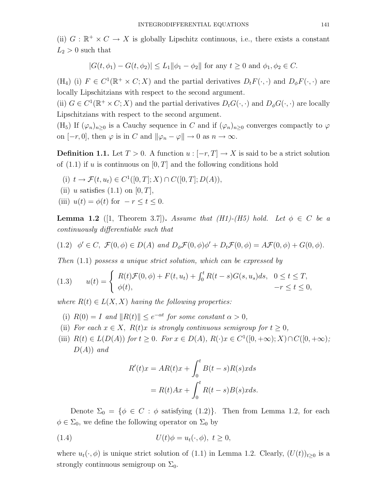(ii)  $G : \mathbb{R}^+ \times C \to X$  is globally Lipschitz continuous, i.e., there exists a constant  $L_2 > 0$  such that

$$
|G(t, \phi_1) - G(t, \phi_2)| \le L_1 ||\phi_1 - \phi_2||
$$
 for any  $t \ge 0$  and  $\phi_1, \phi_2 \in C$ .

(H<sub>4</sub>) (i)  $F \in C^1(\mathbb{R}^+ \times C; X)$  and the partial derivatives  $D_t F(\cdot, \cdot)$  and  $D_\phi F(\cdot, \cdot)$  are locally Lipschitzians with respect to the second argument.

(ii)  $G \in C^1(\mathbb{R}^+ \times C; X)$  and the partial derivatives  $D_t G(\cdot, \cdot)$  and  $D_{\phi} G(\cdot, \cdot)$  are locally Lipschitzians with respect to the second argument.

(H<sub>5</sub>) If  $(\varphi_n)_{n>0}$  is a Cauchy sequence in C and if  $(\varphi_n)_{n>0}$  converges compactly to  $\varphi$ on  $[-r, 0]$ , then  $\varphi$  is in C and  $\|\varphi_n - \varphi\| \to 0$  as  $n \to \infty$ .

**Definition 1.1.** Let  $T > 0$ . A function  $u : [-r, T] \to X$  is said to be a strict solution of  $(1.1)$  if u is continuous on  $[0, T]$  and the following conditions hold

- (i)  $t \to \mathcal{F}(t, u_t) \in C^1([0, T]; X) \cap C([0, T]; D(A)),$
- (ii) u satisfies  $(1.1)$  on  $[0, T]$ ,
- (iii)  $u(t) = \phi(t)$  for  $-r \leq t \leq 0$ .

**Lemma 1.2** ([1, Theorem 3.7]). Assume that (H1)-(H5) hold. Let  $\phi \in C$  be a continuously differentiable such that

(1.2) 
$$
\phi' \in C
$$
,  $\mathcal{F}(0, \phi) \in D(A)$  and  $D_{\phi}\mathcal{F}(0, \phi)\phi' + D_t\mathcal{F}(0, \phi) = A\mathcal{F}(0, \phi) + G(0, \phi)$ .

Then (1.1) possess a unique strict solution, which can be expressed by

$$
(1.3) \qquad u(t) = \begin{cases} R(t)\mathcal{F}(0,\phi) + F(t,u_t) + \int_0^t R(t-s)G(s,u_s)ds, & 0 \le t \le T, \\ \phi(t), & -r \le t \le 0, \end{cases}
$$

where  $R(t) \in L(X, X)$  having the following properties:

- (i)  $R(0) = I$  and  $||R(t)|| \leq e^{-\alpha t}$  for some constant  $\alpha > 0$ ,
- (ii) For each  $x \in X$ ,  $R(t)x$  is strongly continuous semigroup for  $t \geq 0$ ,
- (iii)  $R(t) \in L(D(A))$  for  $t \geq 0$ . For  $x \in D(A)$ ,  $R(\cdot)x \in C^1([0, +\infty); X) \cap C([0, +\infty);$  $D(A)$ ) and

$$
R'(t)x = AR(t)x + \int_0^t B(t-s)R(s)xds
$$
  
=  $R(t)Ax + \int_0^t R(t-s)B(s)xds.$ 

Denote  $\Sigma_0 = \{ \phi \in C : \phi \text{ satisfying (1.2)} \}.$  Then from Lemma 1.2, for each  $\phi \in \Sigma_0$ , we define the following operator on  $\Sigma_0$  by

(1.4) 
$$
U(t)\phi = u_t(\cdot,\phi), \ t \ge 0,
$$

where  $u_t(\cdot, \phi)$  is unique strict solution of (1.1) in Lemma 1.2. Clearly,  $(U(t))_{t>0}$  is a strongly continuous semigroup on  $\Sigma_0$ .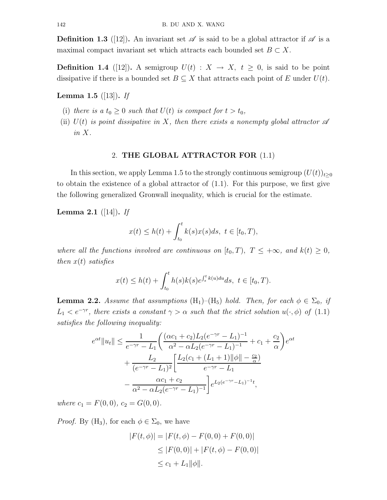**Definition 1.3** ([12]). An invariant set  $\mathscr A$  is said to be a global attractor if  $\mathscr A$  is a maximal compact invariant set which attracts each bounded set  $B \subset X$ .

**Definition 1.4** ([12]). A semigroup  $U(t) : X \to X$ ,  $t \geq 0$ , is said to be point dissipative if there is a bounded set  $B \subseteq X$  that attracts each point of E under  $U(t)$ .

## **Lemma 1.5** ([13]). If

- (i) there is a  $t_0 \geq 0$  such that  $U(t)$  is compact for  $t > t_0$ ,
- (ii)  $U(t)$  is point dissipative in X, then there exists a nonempty global attractor  $\mathscr A$ in X.

#### 2. THE GLOBAL ATTRACTOR FOR (1.1)

In this section, we apply Lemma 1.5 to the strongly continuous semigroup  $(U(t))_{t\geq0}$ to obtain the existence of a global attractor of (1.1). For this purpose, we first give the following generalized Gronwall inequality, which is crucial for the estimate.

## **Lemma 2.1** ([14]). If

$$
x(t) \le h(t) + \int_{t_0}^t k(s)x(s)ds, \ t \in [t_0, T),
$$

where all the functions involved are continuous on  $[t_0, T)$ ,  $T \leq +\infty$ , and  $k(t) \geq 0$ , then  $x(t)$  satisfies

$$
x(t) \le h(t) + \int_{t_0}^t h(s)k(s)e^{\int_s^t k(u)du} ds, \ t \in [t_0, T).
$$

**Lemma 2.2.** Assume that assumptions  $(H_1)$ – $(H_5)$  hold. Then, for each  $\phi \in \Sigma_0$ , if  $L_1 < e^{-\gamma r}$ , there exists a constant  $\gamma > \alpha$  such that the strict solution  $u(\cdot, \phi)$  of (1.1) satisfies the following inequality:

$$
e^{\alpha t} ||u_t|| \leq \frac{1}{e^{-\gamma r} - L_1} \left( \frac{(\alpha c_1 + c_2) L_2 (e^{-\gamma r} - L_1)^{-1}}{\alpha^2 - \alpha L_2 (e^{-\gamma r} - L_1)^{-1}} + c_1 + \frac{c_2}{\alpha} \right) e^{\alpha t} + \frac{L_2}{(e^{-\gamma r} - L_1)^2} \left[ \frac{L_2 (c_1 + (L_1 + 1) ||\phi|| - \frac{c_2}{\alpha})}{e^{-\gamma r} - L_1} - \frac{\alpha c_1 + c_2}{\alpha^2 - \alpha L_2 (e^{-\gamma r} - L_1)^{-1}} \right] e^{L_2 (e^{-\gamma r} - L_1)^{-1} t},
$$

where  $c_1 = F(0,0), c_2 = G(0,0).$ 

*Proof.* By  $(H_3)$ , for each  $\phi \in \Sigma_0$ , we have

$$
|F(t, \phi)| = |F(t, \phi) - F(0, 0) + F(0, 0)|
$$
  
\n
$$
\leq |F(0, 0)| + |F(t, \phi) - F(0, 0)|
$$
  
\n
$$
\leq c_1 + L_1 ||\phi||.
$$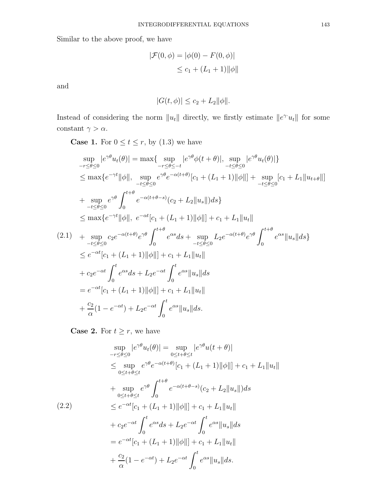Similar to the above proof, we have

$$
|\mathcal{F}(0,\phi) = |\phi(0) - F(0,\phi)|
$$
  
\n
$$
\leq c_1 + (L_1 + 1) ||\phi||
$$

and

$$
|G(t, \phi)| \leq c_2 + L_2 ||\phi||.
$$

Instead of considering the norm  $||u_t||$  directly, we firstly estimate  $||e^{\gamma u_t}||$  for some  $\text{constant } \gamma > \alpha.$ 

**Case 1.** For  $0 \le t \le r$ , by  $(1.3)$  we have

$$
\sup_{-r\leq\theta\leq 0} |e^{\gamma\theta}u_{t}(\theta)| = \max\{ \sup_{-r\leq\theta\leq -t} |e^{\gamma\theta}\phi(t+\theta)|, \sup_{-t\leq\theta\leq 0} |e^{\gamma\theta}u_{t}(\theta)| \}\leq \max\{e^{-\gamma t}||\phi||, \sup_{-t\leq\theta\leq 0} e^{\gamma\theta}e^{-\alpha(t+\theta)}[c_{1} + (L_{1}+1)||\phi||] + \sup_{-t\leq\theta\leq 0}[c_{1} + L_{1}||u_{t+\theta}||]+ \sup_{-t\leq\theta\leq 0} e^{\gamma\theta} \int_{0}^{t+\theta} e^{-\alpha(t+\theta-s)}(c_{2} + L_{2}||u_{s}||)ds \}\leq \max\{e^{-\gamma t}||\phi||, e^{-\alpha t}[c_{1} + (L_{1}+1)||\phi||] + c_{1} + L_{1}||u_{t}||(2.1) + \sup_{-t\leq\theta\leq 0} c_{2}e^{-\alpha(t+\theta)}e^{\gamma\theta} \int_{0}^{t+\theta} e^{\alpha s}ds + \sup_{-t\leq\theta\leq 0} L_{2}e^{-\alpha(t+\theta)}e^{\gamma\theta} \int_{0}^{t+\theta} e^{\alpha s}||u_{s}||ds \}\leq e^{-\alpha t}[c_{1} + (L_{1}+1)||\phi||] + c_{1} + L_{1}||u_{t}||+ c_{2}e^{-\alpha t} \int_{0}^{t} e^{\alpha s}ds + L_{2}e^{-\alpha t} \int_{0}^{t} e^{\alpha s}||u_{s}||ds= e^{-\alpha t}[c_{1} + (L_{1}+1)||\phi||] + c_{1} + L_{1}||u_{t}||+ \frac{c_{2}}{\alpha}(1 - e^{-\alpha t}) + L_{2}e^{-\alpha t} \int_{0}^{t} e^{\alpha s}||u_{s}||ds.
$$

**Case 2.** For  $t \geq r$ , we have

$$
\sup_{-r\leq\theta\leq 0} |e^{\gamma\theta}u_t(\theta)| = \sup_{0\leq t+\theta\leq t} |e^{\gamma\theta}u(t+\theta)|
$$
  
\n
$$
\leq \sup_{0\leq t+\theta\leq t} e^{\gamma\theta}e^{-\alpha(t+\theta)}[c_1 + (L_1+1)||\phi||] + c_1 + L_1||u_t||
$$
  
\n+ 
$$
\sup_{0\leq t+\theta\leq t} e^{\gamma\theta} \int_0^{t+\theta} e^{-\alpha(t+\theta-s)}(c_2 + L_2||u_s||)ds
$$
  
\n(2.2) 
$$
\leq e^{-\alpha t}[c_1 + (L_1+1)||\phi||] + c_1 + L_1||u_t||
$$
  
\n+ 
$$
c_2e^{-\alpha t} \int_0^t e^{\alpha s}ds + L_2e^{-\alpha t} \int_0^t e^{\alpha s}||u_s||ds
$$
  
\n= 
$$
e^{-\alpha t}[c_1 + (L_1+1)||\phi||] + c_1 + L_1||u_t||
$$
  
\n+ 
$$
\frac{c_2}{\alpha}(1 - e^{-\alpha t}) + L_2e^{-\alpha t} \int_0^t e^{\alpha s}||u_s||ds.
$$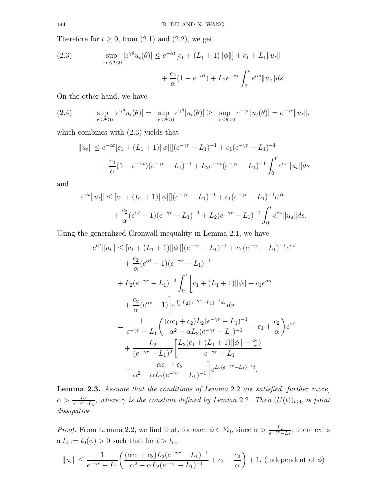Therefore for  $t \geq 0$ , from  $(2.1)$  and  $(2.2)$ , we get

(2.3) 
$$
\sup_{-r \le \theta \le 0} |e^{\gamma \theta} u_t(\theta)| \le e^{-\alpha t} [c_1 + (L_1 + 1) ||\phi||] + c_1 + L_1 ||u_t||
$$

$$
+ \frac{c_2}{\alpha} (1 - e^{-\alpha t}) + L_2 e^{-\alpha t} \int_0^t e^{\alpha s} ||u_s|| ds.
$$

On the other hand, we have

(2.4) 
$$
\sup_{-r\leq\theta\leq 0}|e^{\gamma\theta}u_t(\theta)|=\sup_{-r\leq\theta\leq 0}e^{\gamma\theta}|u_t(\theta)|\geq \sup_{-r\leq\theta\leq 0}e^{-\gamma r}|u_t(\theta)|=e^{-\gamma r}\|u_t\|,
$$

which combines with  $(2.3)$  yields that

$$
||u_t|| \le e^{-\alpha t} [c_1 + (L_1 + 1)||\phi||] (e^{-\gamma r} - L_1)^{-1} + c_1 (e^{-\gamma r} - L_1)^{-1}
$$
  
+  $\frac{c_2}{\alpha} (1 - e^{-\alpha t}) (e^{-\gamma r} - L_1)^{-1} + L_2 e^{-\alpha t} (e^{-\gamma r} - L_1)^{-1} \int_0^t e^{\alpha s} ||u_s|| ds$ 

and

$$
e^{\alpha t} \|u_t\| \le [c_1 + (L_1 + 1)||\phi||](e^{-\gamma r} - L_1)^{-1} + c_1(e^{-\gamma r} - L_1)^{-1}e^{\alpha t} + \frac{c_2}{\alpha}(e^{\alpha t} - 1)(e^{-\gamma r} - L_1)^{-1} + L_2(e^{-\gamma r} - L_1)^{-1} \int_0^t e^{\alpha s} \|u_s\| ds.
$$

Using the generalized Gronwall inequality in Lemma 2.1, we have

$$
e^{\alpha t} \|u_t\| \leq [c_1 + (L_1 + 1)||\phi||](e^{-\gamma r} - L_1)^{-1} + c_1(e^{-\gamma r} - L_1)^{-1}e^{\alpha t} + \frac{c_2}{\alpha}(e^{\alpha t} - 1)(e^{-\gamma r} - L_1)^{-1} + L_2(e^{-\gamma r} - L_1)^{-2} \int_0^t \left[c_1 + (L_1 + 1)||\phi|| + c_1e^{\alpha s} + \frac{c_2}{\alpha}(e^{\alpha s} - 1)\right] e^{\int_s^t L_2(e^{-\gamma r} - L_1)^{-1} d\tau} ds = \frac{1}{e^{-\gamma r} - L_1} \left(\frac{(\alpha c_1 + c_2)L_2(e^{-\gamma r} - L_1)^{-1}}{\alpha^2 - \alpha L_2(e^{-\gamma r} - L_1)^{-1}} + c_1 + \frac{c_2}{\alpha}\right)e^{\alpha t} + \frac{L_2}{(e^{-\gamma r} - L_1)^2} \left[\frac{L_2(c_1 + (L_1 + 1)||\phi|| - \frac{c_2}{\alpha})}{e^{-\gamma r} - L_1} - \frac{\alpha c_1 + c_2}{\alpha^2 - \alpha L_2(e^{-\gamma r} - L_1)^{-1}}\right] e^{L_2(e^{-\gamma r} - L_1)^{-1}t}.
$$

Lemma 2.3. Assume that the conditions of Lemma 2.2 are satisfied, further more,  $\alpha > \frac{L_2}{e^{-\gamma r}-L_1}$ , where  $\gamma$  is the constant defined by Lemma 2.2. Then  $(U(t))_{t\geq 0}$  is point dissipative.

*Proof.* From Lemma 2.2, we find that, for each  $\phi \in \Sigma_0$ , since  $\alpha > \frac{L_2}{e^{-\gamma r} - L_1}$ , there exits a  $t_0 := t_0(\phi) > 0$  such that for  $t > t_0$ ,

$$
||u_t|| \leq \frac{1}{e^{-\gamma r} - L_1} \left( \frac{(\alpha c_1 + c_2) L_2 (e^{-\gamma r} - L_1)^{-1}}{\alpha^2 - \alpha L_2 (e^{-\gamma r} - L_1)^{-1}} + c_1 + \frac{c_2}{\alpha} \right) + 1.
$$
 (independent of  $\phi$ )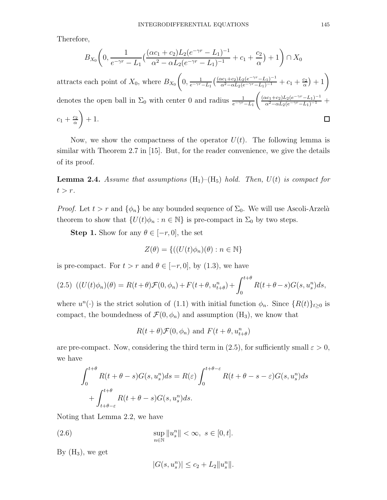Therefore,

$$
B_{X_0}\left(0, \frac{1}{e^{-\gamma r} - L_1} \left(\frac{(\alpha c_1 + c_2) L_2 (e^{-\gamma r} - L_1)^{-1}}{\alpha^2 - \alpha L_2 (e^{-\gamma r} - L_1)^{-1}} + c_1 + \frac{c_2}{\alpha}\right) + 1\right) \cap X_0
$$

attracts each point of  $X_0$ , where  $B_{X_0}\left(0, \frac{1}{e^{-\gamma r}-L_1}(\frac{(\alpha c_1+c_2)L_2(e^{-\gamma r}-L_1)^{-1}}{\alpha^2-\alpha L_2(e^{-\gamma r}-L_1)^{-1}}+c_1+\frac{c_2}{\alpha}\right)$  $\left(\frac{c_2}{\alpha}\right)+1\right)$  $\frac{(\alpha c_1+c_2)L_2(e^{-\gamma r}-L_1)^{-1}}{\alpha^2-\alpha L_2(e^{-\gamma r}-L_1)^{-1}}$  + denotes the open ball in  $\Sigma_0$  with center 0 and radius  $\frac{1}{e^{-\gamma r}-L_1}$  $\setminus$  $c_1+\frac{c_2}{\alpha}$  $\Box$  $+1.$ α

Now, we show the compactness of the operator  $U(t)$ . The following lemma is similar with Theorem 2.7 in [15]. But, for the reader convenience, we give the details of its proof.

**Lemma 2.4.** Assume that assumptions  $(H_1)$ – $(H_5)$  hold. Then,  $U(t)$  is compact for  $t > r$ .

*Proof.* Let  $t > r$  and  $\{\phi_n\}$  be any bounded sequence of  $\Sigma_0$ . We will use Ascoli-Arzelà theorem to show that  $\{U(t)\phi_n : n \in \mathbb{N}\}\$ is pre-compact in  $\Sigma_0$  by two steps.

**Step 1.** Show for any  $\theta \in [-r, 0]$ , the set

$$
Z(\theta) = \{ ((U(t)\phi_n)(\theta) : n \in \mathbb{N} \}
$$

is pre-compact. For  $t > r$  and  $\theta \in [-r, 0]$ , by (1.3), we have

$$
(2.5)\ \ ((U(t)\phi_n)(\theta) = R(t+\theta)\mathcal{F}(0,\phi_n) + F(t+\theta,u_{t+\theta}^n) + \int_0^{t+\theta} R(t+\theta-s)G(s,u_s^n)ds,
$$

where  $u^{n}(\cdot)$  is the strict solution of (1.1) with initial function  $\phi_{n}$ . Since  $\{R(t)\}_{t\geq0}$  is compact, the boundedness of  $\mathcal{F}(0, \phi_n)$  and assumption  $(H_3)$ , we know that

$$
R(t + \theta) \mathcal{F}(0, \phi_n) \text{ and } F(t + \theta, u_{t + \theta}^n)
$$

are pre-compact. Now, considering the third term in (2.5), for sufficiently small  $\varepsilon > 0$ , we have

$$
\int_0^{t+\theta} R(t+\theta-s)G(s, u_s^n)ds = R(\varepsilon)\int_0^{t+\theta-\varepsilon} R(t+\theta-s-\varepsilon)G(s, u_s^n)ds
$$
  
+ 
$$
\int_{t+\theta-\varepsilon}^{t+\theta} R(t+\theta-s)G(s, u_s^n)ds.
$$

Noting that Lemma 2.2, we have

(2.6) 
$$
\sup_{n\in\mathbb{N}}\|u_s^n\| < \infty, \ s\in[0,t].
$$

By  $(H_3)$ , we get

$$
|G(s, u_s^n)| \le c_2 + L_2 ||u_s^n||.
$$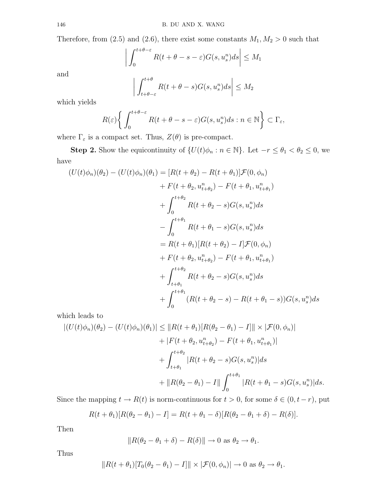Therefore, from (2.5) and (2.6), there exist some constants  $M_1, M_2 > 0$  such that

$$
\left| \int_0^{t+\theta-\varepsilon} R(t+\theta-s-\varepsilon) G(s,u^n_s) ds \right| \le M_1
$$

and

$$
\left| \int_{t+\theta-\varepsilon}^{t+\theta} R(t+\theta-s)G(s,u_s^n)ds \right| \le M_2
$$

which yields

$$
R(\varepsilon) \bigg\{ \int_0^{t+\theta-\varepsilon} R(t+\theta-s-\varepsilon) G(s, u_s^n) ds : n \in \mathbb{N} \bigg\} \subset \Gamma_{\varepsilon},
$$

where  $\Gamma_\varepsilon$  is a compact set. Thus,  $Z(\theta)$  is pre-compact.

 $\overline{\phantom{a}}$  $\overline{\phantom{a}}$  $\overline{\phantom{a}}$  $\overline{\phantom{a}}$ 

**Step 2.** Show the equicontinuity of  $\{U(t)\phi_n : n \in \mathbb{N}\}\)$ . Let  $-r \leq \theta_1 < \theta_2 \leq 0$ , we have

$$
(U(t)\phi_n)(\theta_2) - (U(t)\phi_n)(\theta_1) = [R(t + \theta_2) - R(t + \theta_1)]\mathcal{F}(0, \phi_n)
$$
  
+  $F(t + \theta_2, u_{t + \theta_2}^n) - F(t + \theta_1, u_{t + \theta_1}^n)$   
+  $\int_0^{t + \theta_2} R(t + \theta_2 - s)G(s, u_s^n)ds$   
-  $\int_0^{t + \theta_1} R(t + \theta_1 - s)G(s, u_s^n)ds$   
=  $R(t + \theta_1)[R(t + \theta_2) - I]\mathcal{F}(0, \phi_n)$   
+  $F(t + \theta_2, u_{t + \theta_2}^n) - F(t + \theta_1, u_{t + \theta_1}^n)$   
+  $\int_{t + \theta_1}^{t + \theta_2} R(t + \theta_2 - s)G(s, u_s^n)ds$   
+  $\int_0^{t + \theta_1} (R(t + \theta_2 - s) - R(t + \theta_1 - s))G(s, u_s^n)ds$ 

which leads to

$$
\begin{aligned} |(U(t)\phi_n)(\theta_2) - (U(t)\phi_n)(\theta_1)| &\leq \|R(t + \theta_1)[R(\theta_2 - \theta_1) - I]\| \times |\mathcal{F}(0, \phi_n)| \\ &+ |F(t + \theta_2, u_{t + \theta_2}^n) - F(t + \theta_1, u_{t + \theta_1}^n)| \\ &+ \int_{t + \theta_1}^{t + \theta_2} |R(t + \theta_2 - s)G(s, u_s^n)| ds \\ &+ \|R(\theta_2 - \theta_1) - I\| \int_0^{t + \theta_1} |R(t + \theta_1 - s)G(s, u_s^n)| ds. \end{aligned}
$$

Since the mapping  $t \to R(t)$  is norm-continuous for  $t > 0$ , for some  $\delta \in (0, t - r)$ , put

$$
R(t + \theta_1)[R(\theta_2 - \theta_1) - I] = R(t + \theta_1 - \delta)[R(\theta_2 - \theta_1 + \delta) - R(\delta)].
$$

Then

$$
||R(\theta_2 - \theta_1 + \delta) - R(\delta)|| \to 0 \text{ as } \theta_2 \to \theta_1.
$$

Thus

$$
||R(t + \theta_1)[T_0(\theta_2 - \theta_1) - I]|| \times |\mathcal{F}(0, \phi_n)| \to 0 \text{ as } \theta_2 \to \theta_1.
$$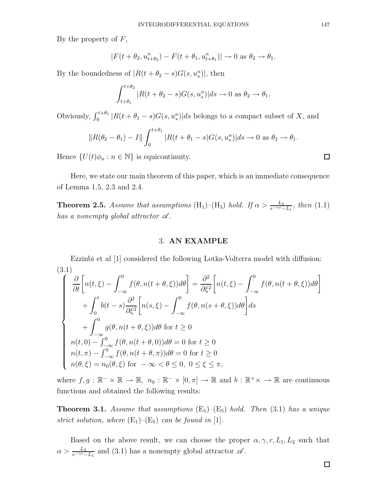By the property of  $F$ ,

$$
|F(t+\theta_2, u_{t+\theta_2}^n) - F(t+\theta_1, u_{t+\theta_1}^n)| \to 0 \text{ as } \theta_2 \to \theta_1.
$$

By the boundedness of  $|R(t + \theta_2 - s)G(s, u_s^n)|$ , then

$$
\int_{t+\theta_1}^{t+\theta_2} |R(t+\theta_2-s)G(s,u_s^n)|ds \to 0 \text{ as } \theta_2 \to \theta_1.
$$

Obviously,  $\int_0^{t+\theta_1} |R(t + \theta_1 - s)G(s, u_s^n)| ds$  belongs to a compact subset of X, and

$$
||R(\theta_2 - \theta_1) - I|| \int_0^{t+\theta_1} |R(t + \theta_1 - s)G(s, u_s^n)| ds \to 0 \text{ as } \theta_2 \to \theta_1.
$$

Hence  $\{U(t)\phi_n : n \in \mathbb{N}\}\$ is equicontinuity.

Here, we state our main theorem of this paper, which is an immediate consequence of Lemma 1.5, 2.3 and 2.4.

**Theorem 2.5.** Assume that assumptions (H<sub>1</sub>)–(H<sub>5</sub>) hold. If  $\alpha > \frac{L_2}{e^{-\gamma r} - L_1}$ , then (1.1) has a nonempty global attractor  $\mathscr A$ .

### 3. AN EXAMPLE

Ezzinbi et al [1] considered the following Lotka-Volterra model with diffusion: (3.1)

$$
\begin{cases}\n\frac{\partial}{\partial t}\left[n(t,\xi)-\int_{-\infty}^{0}f(\theta,n(t+\theta,\xi))d\theta\right]=\frac{\partial^{2}}{\partial\xi^{2}}\left[n(t,\xi)-\int_{-\infty}^{0}f(\theta,n(t+\theta,\xi))d\theta\right] \\
+\int_{0}^{t}b(t-s)\frac{\partial^{2}}{\partial\xi^{2}}\left[n(s,\xi)-\int_{-\infty}^{0}f(\theta,n(s+\theta,\xi))d\theta\right]ds \\
+\int_{-\infty}^{0}g(\theta,n(t+\theta,\xi))d\theta \text{ for } t\geq 0 \\
n(t,0)-\int_{-\infty}^{0}f(\theta,n(t+\theta,0))d\theta=0 \text{ for } t\geq 0 \\
n(t,\pi)-\int_{-\infty}^{0}f(\theta,n(t+\theta,\pi))d\theta=0 \text{ for } t\geq 0 \\
n(\theta,\xi)=n_{0}(\theta,\xi) \text{ for } -\infty < \theta \leq 0, \ 0\leq \xi \leq \pi,\n\end{cases}
$$

where  $f, g : \mathbb{R}^- \times \mathbb{R} \to \mathbb{R}, n_0 : \mathbb{R}^- \times [0, \pi] \to \mathbb{R}$  and  $b : \mathbb{R}^+ \times \to \mathbb{R}$  are continuous functions and obtained the following results:

**Theorem 3.1.** Assume that assumptions  $(E_1)$ – $(E_5)$  hold. Then (3.1) has a unique strict solution, where  $(E_1)$ – $(E_5)$  can be found in [1].

Based on the above result, we can choose the proper  $\alpha, \gamma, r, L_1, L_2$  such that  $\alpha > \frac{L_2}{e^{-\gamma r} - L_1}$  and (3.1) has a nonempty global attractor  $\mathscr{A}$ .

 $\Box$ 

 $\Box$